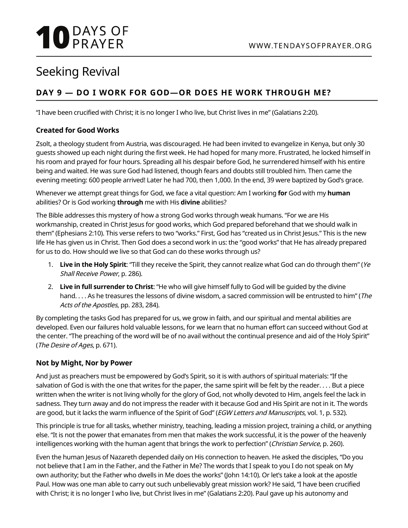# **10** DAYS OF

### Seeking Revival

#### **DAY 9 — DO I WORK FOR GOD—OR DOES HE WORK THROUGH ME?**

"I have been crucified with Christ; it is no longer I who live, but Christ lives in me" (Galatians 2:20).

#### **Created for Good Works**

Zsolt, a theology student from Austria, was discouraged. He had been invited to evangelize in Kenya, but only 30 guests showed up each night during the first week. He had hoped for many more. Frustrated, he locked himself in his room and prayed for four hours. Spreading all his despair before God, he surrendered himself with his entire being and waited. He was sure God had listened, though fears and doubts still troubled him. Then came the evening meeting: 600 people arrived! Later he had 700, then 1,000. In the end, 39 were baptized by God's grace.

Whenever we attempt great things for God, we face a vital question: Am I working **for** God with my **human** abilities? Or is God working **through** me with His **divine** abilities?

The Bible addresses this mystery of how a strong God works through weak humans. "For we are His workmanship, created in Christ Jesus for good works, which God prepared beforehand that we should walk in them" (Ephesians 2:10). This verse refers to two "works." First, God has "created us in Christ Jesus." This is the new life He has given us in Christ. Then God does a second work in us: the "good works" that He has already prepared for us to do. How should we live so that God can do these works through us?

- 1. **Live in the Holy Spirit**: "Till they receive the Spirit, they cannot realize what God can do through them" (Ye Shall Receive Power, p. 286).
- 2. **Live in full surrender to Christ**: "He who will give himself fully to God will be guided by the divine hand. . . . As he treasures the lessons of divine wisdom, a sacred commission will be entrusted to him" (The Acts of the Apostles, pp. 283, 284).

By completing the tasks God has prepared for us, we grow in faith, and our spiritual and mental abilities are developed. Even our failures hold valuable lessons, for we learn that no human effort can succeed without God at the center. "The preaching of the word will be of no avail without the continual presence and aid of the Holy Spirit" (The Desire of Ages, p. 671).

#### **Not by Might, Nor by Power**

And just as preachers must be empowered by God's Spirit, so it is with authors of spiritual materials: "If the salvation of God is with the one that writes for the paper, the same spirit will be felt by the reader. . . . But a piece written when the writer is not living wholly for the glory of God, not wholly devoted to Him, angels feel the lack in sadness. They turn away and do not impress the reader with it because God and His Spirit are not in it. The words are good, but it lacks the warm influence of the Spirit of God" (EGW Letters and Manuscripts, vol. 1, p. 532).

This principle is true for all tasks, whether ministry, teaching, leading a mission project, training a child, or anything else. "It is not the power that emanates from men that makes the work successful, it is the power of the heavenly intelligences working with the human agent that brings the work to perfection" (Christian Service, p. 260).

Even the human Jesus of Nazareth depended daily on His connection to heaven. He asked the disciples, "Do you not believe that I am in the Father, and the Father in Me? The words that I speak to you I do not speak on My own authority; but the Father who dwells in Me does the works" (John 14:10). Or let's take a look at the apostle Paul. How was one man able to carry out such unbelievably great mission work? He said, "I have been crucified with Christ; it is no longer I who live, but Christ lives in me" (Galatians 2:20). Paul gave up his autonomy and